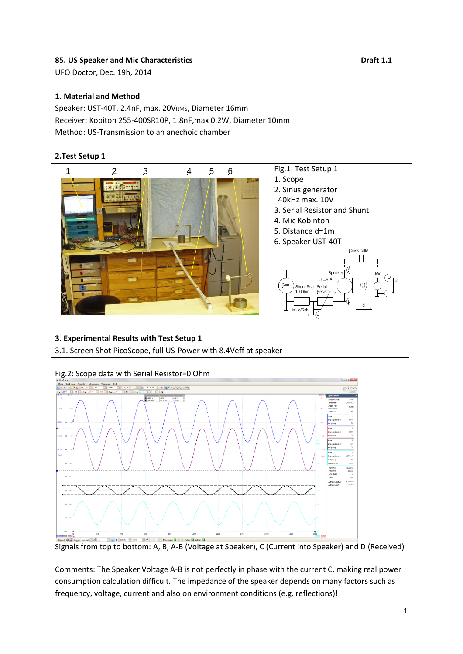## 85. US Speaker and Mic Characteristics **Branch 2006 Draft 1.1**

UFO Doctor, Dec. 19h, 2014

### **1. Material and Method**

Speaker: UST-40T, 2.4nF, max. 20VRMS, Diameter 16mm Receiver: Kobiton 255-400SR10P, 1.8nF,max 0.2W, Diameter 10mm Method: US-Transmission to an anechoic chamber

### **2.Test Setup 1**



# **3. Experimental Results with Test Setup 1**

3.1. Screen Shot PicoScope, full US-Power with 8.4Veff at speaker



Comments: The Speaker Voltage A-B is not perfectly in phase with the current C, making real power consumption calculation difficult. The impedance of the speaker depends on many factors such as frequency, voltage, current and also on environment conditions (e.g. reflections)!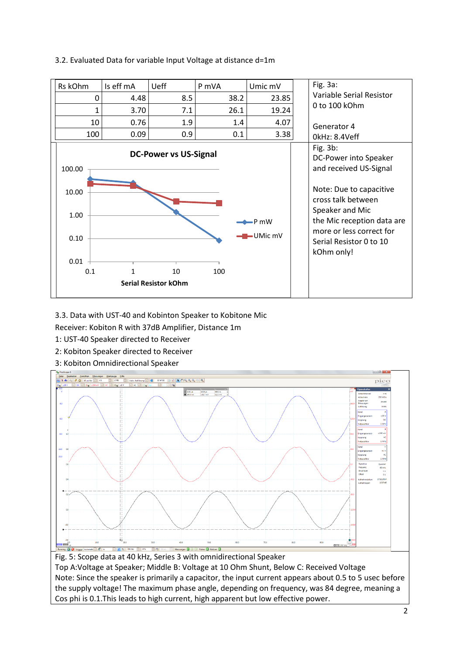# 3.2. Evaluated Data for variable Input Voltage at distance d=1m



3.3. Data with UST-40 and Kobinton Speaker to Kobitone Mic

Receiver: Kobiton R with 37dB Amplifier, Distance 1m

- 1: UST-40 Speaker directed to Receiver
- 2: Kobiton Speaker directed to Receiver
- 3: Kobiton Omnidirectional Speaker



Note: Since the speaker is primarily a capacitor, the input current appears about 0.5 to 5 usec before the supply voltage! The maximum phase angle, depending on frequency, was 84 degree, meaning a Cos phi is 0.1.This leads to high current, high apparent but low effective power.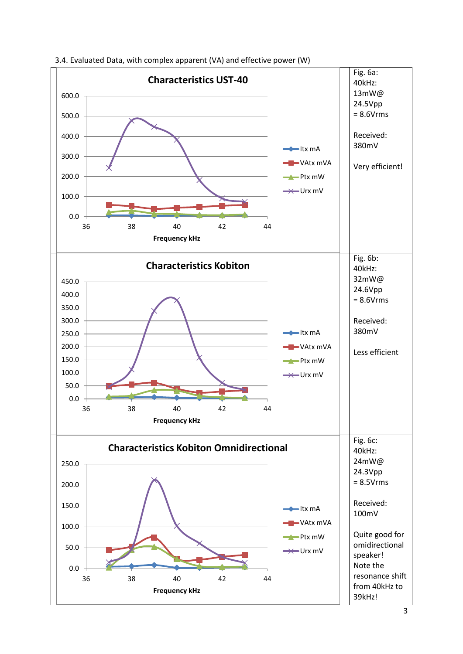

3.4. Evaluated Data, with complex apparent (VA) and effective power (W)